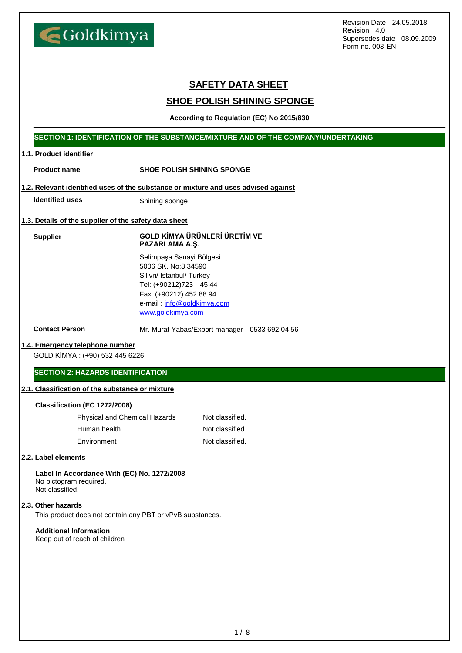Goldkimya

Revision Date 24.05.2018 Revision 4.0 Supersedes date 08.09.2009 Form no. 003-EN

# **SAFETY DATA SHEET**

# **SHOE POLISH SHINING SPONGE**

**According to Regulation (EC) No 2015/830**

## **SECTION 1: IDENTIFICATION OF THE SUBSTANCE/MIXTURE AND OF THE COMPANY/UNDERTAKING**

## **1.1. Product identifier**

| <b>Product name</b>                                                                      | <b>SHOE POLISH SHINING SPONGE</b>                                                                                                                                                    |  |
|------------------------------------------------------------------------------------------|--------------------------------------------------------------------------------------------------------------------------------------------------------------------------------------|--|
|                                                                                          | 1.2. Relevant identified uses of the substance or mixture and uses advised against                                                                                                   |  |
| <b>Identified uses</b>                                                                   | Shining sponge.                                                                                                                                                                      |  |
| 1.3. Details of the supplier of the safety data sheet                                    |                                                                                                                                                                                      |  |
| <b>Supplier</b>                                                                          | <b>GOLD KİMYA ÜRÜNLERİ ÜRETİM VE</b><br>PAZARLAMA A.Ş.                                                                                                                               |  |
|                                                                                          | Selimpaşa Sanayi Bölgesi<br>5006 SK. No:8 34590<br>Silivri/ Istanbul/ Turkey<br>Tel: (+90212)723 45 44<br>Fax: (+90212) 452 88 94<br>e-mail: info@goldkimya.com<br>www.goldkimya.com |  |
| <b>Contact Person</b>                                                                    | Mr. Murat Yabas/Export manager 0533 692 04 56                                                                                                                                        |  |
| 1.4. Emergency telephone number                                                          |                                                                                                                                                                                      |  |
| GOLD KİMYA: (+90) 532 445 6226                                                           |                                                                                                                                                                                      |  |
| <b>SECTION 2: HAZARDS IDENTIFICATION</b>                                                 |                                                                                                                                                                                      |  |
| 2.1. Classification of the substance or mixture                                          |                                                                                                                                                                                      |  |
| Classification (EC 1272/2008)                                                            |                                                                                                                                                                                      |  |
| Physical and Chemical Hazards                                                            | Not classified.                                                                                                                                                                      |  |
| Human health                                                                             | Not classified.                                                                                                                                                                      |  |
| Environment                                                                              | Not classified.                                                                                                                                                                      |  |
| 2.2. Label elements                                                                      |                                                                                                                                                                                      |  |
| Label In Accordance With (EC) No. 1272/2008<br>No pictogram required.<br>Not classified. |                                                                                                                                                                                      |  |
| 2.3. Other hazards                                                                       |                                                                                                                                                                                      |  |
| This product does not contain any PBT or vPvB substances.                                |                                                                                                                                                                                      |  |
| <b>Additional Information</b><br>Keep out of reach of children                           |                                                                                                                                                                                      |  |
|                                                                                          |                                                                                                                                                                                      |  |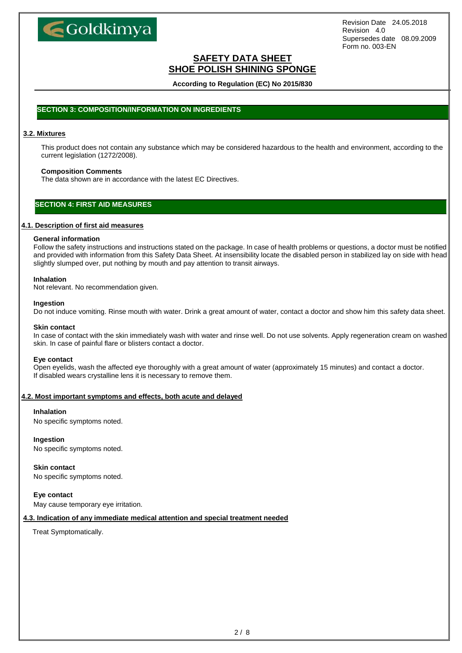

## **SAFETY DATA SHEET SHOE POLISH SHINING SPONGE**

**According to Regulation (EC) No 2015/830**

## **SECTION 3: COMPOSITION/INFORMATION ON INGREDIENTS**

### **3.2. Mixtures**

This product does not contain any substance which may be considered hazardous to the health and environment, according to the current legislation (1272/2008).

### **Composition Comments**

The data shown are in accordance with the latest EC Directives.

## **SECTION 4: FIRST AID MEASURES**

### **4.1. Description of first aid measures**

### **General information**

Follow the safety instructions and instructions stated on the package. In case of health problems or questions, a doctor must be notified and provided with information from this Safety Data Sheet. At insensibility locate the disabled person in stabilized lay on side with head slightly slumped over, put nothing by mouth and pay attention to transit airways.

### **Inhalation**

Not relevant. No recommendation given.

### **Ingestion**

Do not induce vomiting. Rinse mouth with water. Drink a great amount of water, contact a doctor and show him this safety data sheet.

#### **Skin contact**

In case of contact with the skin immediately wash with water and rinse well. Do not use solvents. Apply regeneration cream on washed skin. In case of painful flare or blisters contact a doctor.

### **Eye contact**

Open eyelids, wash the affected eye thoroughly with a great amount of water (approximately 15 minutes) and contact a doctor. If disabled wears crystalline lens it is necessary to remove them.

### **4.2. Most important symptoms and effects, both acute and delayed**

### **Inhalation**

No specific symptoms noted.

### **Ingestion**

No specific symptoms noted.

### **Skin contact**

No specific symptoms noted.

### **Eye contact**

May cause temporary eye irritation.

### **4.3. Indication of any immediate medical attention and special treatment needed**

Treat Symptomatically.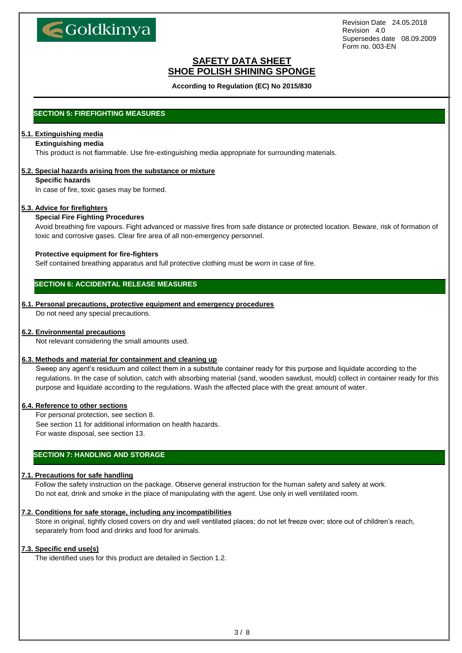

## **SAFETY DATA SHEET SHOE POLISH SHINING SPONGE**

**According to Regulation (EC) No 2015/830**

## **SECTION 5: FIREFIGHTING MEASURES**

# **5.1. Extinguishing media**

### **Extinguishing media**

This product is not flammable. Use fire-extinguishing media appropriate for surrounding materials.

### **5.2. Special hazards arising from the substance or mixture**

### **Specific hazards**

In case of fire, toxic gases may be formed.

### **5.3. Advice for firefighters**

### **Special Fire Fighting Procedures**

Avoid breathing fire vapours. Fight advanced or massive fires from safe distance or protected location. Beware, risk of formation of toxic and corrosive gases. Clear fire area of all non-emergency personnel.

### **Protective equipment for fire-fighters**

Self contained breathing apparatus and full protective clothing must be worn in case of fire.

## **SECTION 6: ACCIDENTAL RELEASE MEASURES**

### **6.1. Personal precautions, protective equipment and emergency procedures**

Do not need any special precautions.

### **6.2. Environmental precautions**

Not relevant considering the small amounts used.

### **6.3. Methods and material for containment and cleaning up**

Sweep any agent's residuum and collect them in a substitute container ready for this purpose and liquidate according to the regulations. In the case of solution, catch with absorbing material (sand, wooden sawdust, mould) collect in container ready for this purpose and liquidate according to the regulations. Wash the affected place with the great amount of water.

### **6.4. Reference to other sections**

For personal protection, see section 8. See section 11 for additional information on health hazards. For waste disposal, see section 13.

## **SECTION 7: HANDLING AND STORAGE**

## **7.1. Precautions for safe handling**

Follow the safety instruction on the package. Observe general instruction for the human safety and safety at work. Do not eat, drink and smoke in the place of manipulating with the agent. Use only in well ventilated room.

### **7.2. Conditions for safe storage, including any incompatibilities**

Store in original, tightly closed covers on dry and well ventilated places; do not let freeze over; store out of children's reach, separately from food and drinks and food for animals.

### **7.3. Specific end use(s)**

The identified uses for this product are detailed in Section 1.2.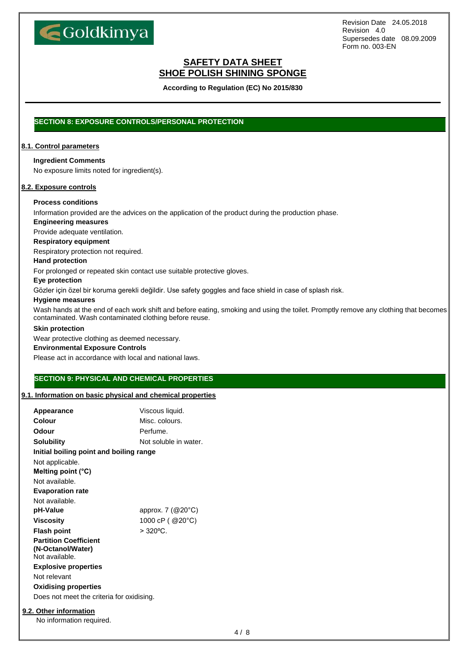

## **SAFETY DATA SHEET SHOE POLISH SHINING SPONGE**

**According to Regulation (EC) No 2015/830**

## **SECTION 8: EXPOSURE CONTROLS/PERSONAL PROTECTION**

### **8.1. Control parameters**

### **Ingredient Comments**

No exposure limits noted for ingredient(s).

### **8.2. Exposure controls**

## **Process conditions**

Information provided are the advices on the application of the product during the production phase.

## **Engineering measures**

Provide adequate ventilation.

### **Respiratory equipment**

Respiratory protection not required.

### **Hand protection**

For prolonged or repeated skin contact use suitable protective gloves.

### **Eye protection**

Gözler için özel bir koruma gerekli değildir. Use safety goggles and face shield in case of splash risk.

### **Hygiene measures**

Wash hands at the end of each work shift and before eating, smoking and using the toilet. Promptly remove any clothing that becomes contaminated. Wash contaminated clothing before reuse.

#### **Skin protection**

Wear protective clothing as deemed necessary.

### **Environmental Exposure Controls**

Please act in accordance with local and national laws.

## **SECTION 9: PHYSICAL AND CHEMICAL PROPERTIES**

## **9.1. Information on basic physical and chemical properties**

| <b>Appearance</b>                                 | Viscous liquid.               |  |
|---------------------------------------------------|-------------------------------|--|
| Colour                                            | Misc. colours.                |  |
| Odour                                             | Perfume.                      |  |
| Solubility                                        | Not soluble in water.         |  |
| Initial boiling point and boiling range           |                               |  |
| Not applicable.                                   |                               |  |
| Melting point $(^{\circ}C)$                       |                               |  |
| Not available.                                    |                               |  |
| <b>Evaporation rate</b>                           |                               |  |
| Not available.                                    |                               |  |
| pH-Value                                          | approx. $7 \, (@20\degree C)$ |  |
| <b>Viscosity</b>                                  | 1000 cP ( @20°C)              |  |
| <b>Flash point</b>                                | $> 320^{\circ}$ C.            |  |
| <b>Partition Coefficient</b><br>(N-Octanol/Water) |                               |  |
| Not available.                                    |                               |  |
| <b>Explosive properties</b>                       |                               |  |
| Not relevant                                      |                               |  |
| <b>Oxidising properties</b>                       |                               |  |
| Does not meet the criteria for oxidising.         |                               |  |
|                                                   |                               |  |

## **9.2. Other information**

No information required.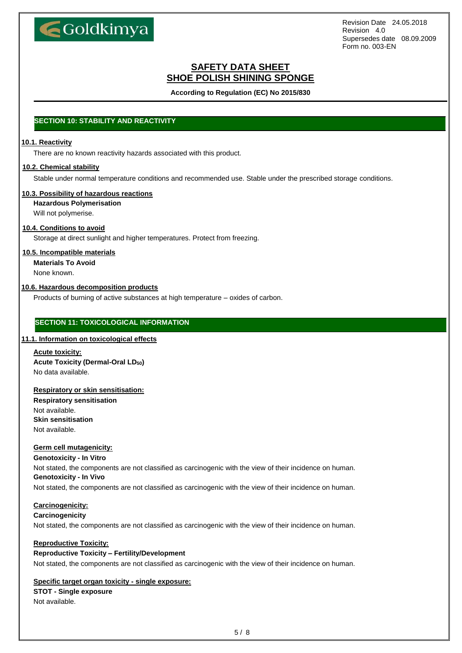

## **SAFETY DATA SHEET SHOE POLISH SHINING SPONGE**

**According to Regulation (EC) No 2015/830**

## **SECTION 10: STABILITY AND REACTIVITY**

### **10.1. Reactivity**

There are no known reactivity hazards associated with this product.

### **10.2. Chemical stability**

Stable under normal temperature conditions and recommended use. Stable under the prescribed storage conditions.

### **10.3. Possibility of hazardous reactions**

**Hazardous Polymerisation**

Will not polymerise.

## **10.4. Conditions to avoid**

Storage at direct sunlight and higher temperatures. Protect from freezing.

### **10.5. Incompatible materials**

**Materials To Avoid**

None known.

### **10.6. Hazardous decomposition products**

Products of burning of active substances at high temperature – oxides of carbon.

## **SECTION 11: TOXICOLOGICAL INFORMATION**

## **11.1. Information on toxicological effects**

**Acute toxicity: Acute Toxicity (Dermal-Oral LD50)** No data available.

### **Respiratory or skin sensitisation:**

**Respiratory sensitisation** Not available. **Skin sensitisation** Not available.

### **Germ cell mutagenicity:**

**Genotoxicity - In Vitro**

Not stated, the components are not classified as carcinogenic with the view of their incidence on human. **Genotoxicity - In Vivo**

Not stated, the components are not classified as carcinogenic with the view of their incidence on human.

### **Carcinogenicity:**

## **Carcinogenicity**

Not stated, the components are not classified as carcinogenic with the view of their incidence on human.

## **Reproductive Toxicity:**

### **Reproductive Toxicity – Fertility/Development**

Not stated, the components are not classified as carcinogenic with the view of their incidence on human.

## **Specific target organ toxicity - single exposure:**

### **STOT - Single exposure** Not available.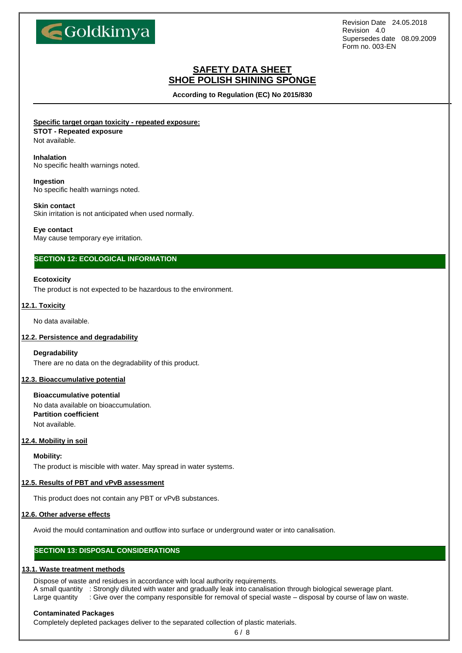

## **SAFETY DATA SHEET SHOE POLISH SHINING SPONGE**

**According to Regulation (EC) No 2015/830**

**Specific target organ toxicity - repeated exposure:**

## **STOT - Repeated exposure**

Not available.

### **Inhalation**

No specific health warnings noted.

### **Ingestion**

No specific health warnings noted.

### **Skin contact**

Skin irritation is not anticipated when used normally.

### **Eye contact**

May cause temporary eye irritation.

## **SECTION 12: ECOLOGICAL INFORMATION**

### **Ecotoxicity**

The product is not expected to be hazardous to the environment.

### **12.1. Toxicity**

No data available.

### **12.2. Persistence and degradability**

### **Degradability**

There are no data on the degradability of this product.

### **12.3. Bioaccumulative potential**

**Bioaccumulative potential** No data available on bioaccumulation. **Partition coefficient** Not available.

### **12.4. Mobility in soil**

**Mobility:**

The product is miscible with water. May spread in water systems.

### **12.5. Results of PBT and vPvB assessment**

This product does not contain any PBT or vPvB substances.

### **12.6. Other adverse effects**

Avoid the mould contamination and outflow into surface or underground water or into canalisation.

## **SECTION 13: DISPOSAL CONSIDERATIONS**

### **13.1. Waste treatment methods**

Dispose of waste and residues in accordance with local authority requirements.

A small quantity : Strongly diluted with water and gradually leak into canalisation through biological sewerage plant.

# Large quantity : Give over the company responsible for removal of special waste – disposal by course of law on waste.

### **Contaminated Packages**

Completely depleted packages deliver to the separated collection of plastic materials.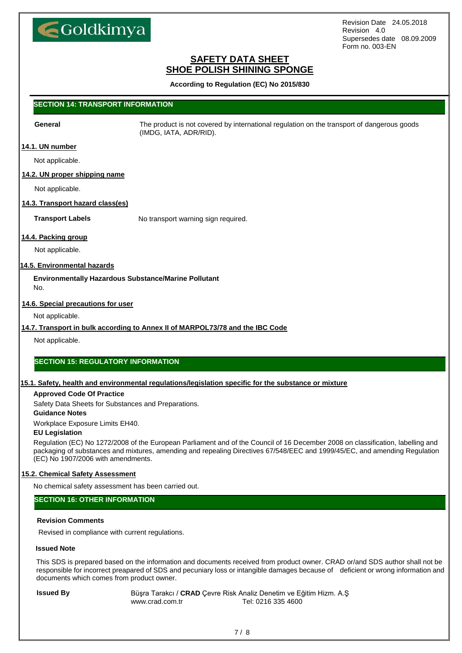

## **SAFETY DATA SHEET SHOE POLISH SHINING SPONGE**

**According to Regulation (EC) No 2015/830**

## **SECTION 14: TRANSPORT INFORMATION**

**General** The product is not covered by international regulation on the transport of dangerous goods (IMDG, IATA, ADR/RID).

### **14.1. UN number**

Not applicable.

### **14.2. UN proper shipping name**

Not applicable.

### **14.3. Transport hazard class(es)**

**Transport Labels** No transport warning sign required.

### **14.4. Packing group**

Not applicable.

### **14.5. Environmental hazards**

**Environmentally Hazardous Substance/Marine Pollutant** No.

### **14.6. Special precautions for user**

Not applicable.

### **14.7. Transport in bulk according to Annex II of MARPOL73/78 and the IBC Code**

Not applicable.

### **SECTION 15: REGULATORY INFORMATION**

### **15.1. Safety, health and environmental regulations/legislation specific for the substance or mixture**

### **Approved Code Of Practice**

Safety Data Sheets for Substances and Preparations.

### **Guidance Notes**

Workplace Exposure Limits EH40.

#### **EU Legislation**

Regulation (EC) No 1272/2008 of the European Parliament and of the Council of 16 December 2008 on classification, labelling and packaging of substances and mixtures, amending and repealing Directives 67/548/EEC and 1999/45/EC, and amending Regulation (EC) No 1907/2006 with amendments.

### **15.2. Chemical Safety Assessment**

No chemical safety assessment has been carried out.

## **SECTION 16: OTHER INFORMATION**

### **Revision Comments**

Revised in compliance with current regulations.

### **Issued Note**

This SDS is prepared based on the information and documents received from product owner. CRAD or/and SDS author shall not be responsible for incorrect preapared of SDS and pecuniary loss or intangible damages because of deficient or wrong information and documents which comes from product owner.

**Issued By** Büşra Tarakcı / CRAD Çevre Risk Analiz Denetim ve Eğitim Hizm. A.Ş www.crad.com.tr Tel: 0216 335 4600